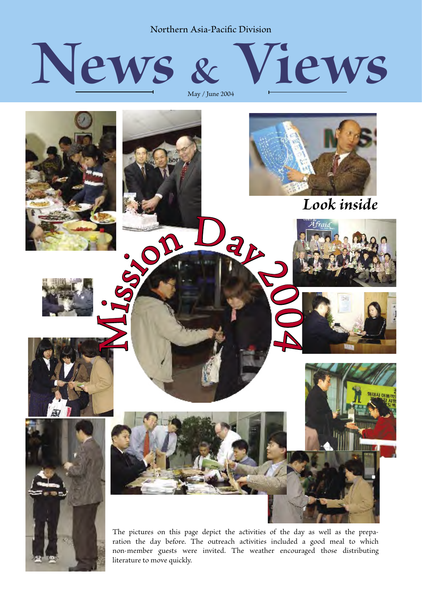Northern Asia-Pacific Division





ration the day before. The outreach activities included a good meal to which non-member guests were invited. The weather encouraged those distributing literature to move quickly.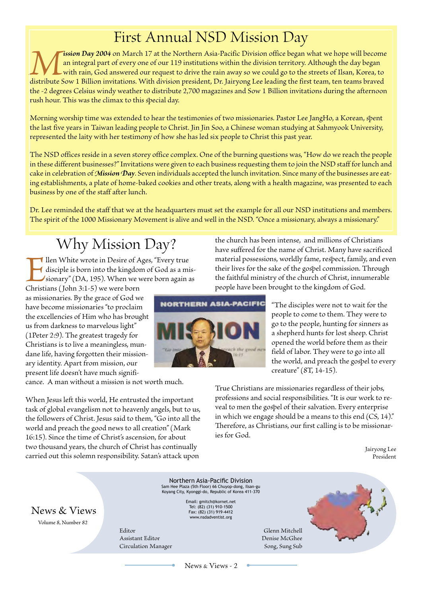### First Annual NSD Mission Day

**1997 Although May 2004** on March 17 at the Northern Asia-Pacific Division office began what we hope will become<br>an integral part of every one of our 119 institutions within the division territory. Although the day began<br>d an integral part of every one of our 119 institutions within the division territory. Although the day began with rain, God answered our request to drive the rain away so we could go to the streets of Ilsan, Korea, to the -2 degrees Celsius windy weather to distribute 2,700 magazines and Sow 1 Billion invitations during the afternoon rush hour. This was the climax to this special day.

Morning worship time was extended to hear the testimonies of two missionaries. Pastor Lee JangHo, a Korean, spent the last five years in Taiwan leading people to Christ. Jin Jin Soo, a Chinese woman studying at Sahmyook University, represented the laity with her testimony of how she has led six people to Christ this past year.

The NSD offices reside in a seven storey office complex. One of the burning questions was, "How do we reach the people in these different businesses?" Invitations were given to each business requesting them to join the NSD staff for lunch and cake in celebration of *Mision Day*. Seven individuals accepted the lunch invitation. Since many of the businesses are eating estalishments, a plate of home-baked cookies and other treats, along with a health magazine, was presented to each business by one of the staff after lunch.

Dr. Lee reminded the staff that we at the headquarters must set the example for all our NSD institutions and members. The spirit of the 1000 Missionary Movement is alive and well in the NSD. "Once a missionary, always a missionary."

## Why Mission Day?

Ilen White wrote in Desire of Ages, "Every true<br>disciple is born into the kingdom of God as a mi<br>sionary" (DA, 195). When we were born again a<br>Christians (John 3:1-5) we were born disciple is born into the kingdom of God as a missionary" (DA, 195). When we were born again as

Christians (John 3:1-5) we were born as missionaries. By the grace of God we have become missionaries "to proclaim the excellencies of Him who has brought us from darkness to marvelous light" (1Peter 2:9). The greatest tragedy for Christians is to live a meaningless, mundane life, having forgotten their missionary identity. Apart from mission, our present life doesn't have much signifi-

cance. A man without a mission is not worth much.

When Jesus left this world, He entrusted the important task of global evangelism not to heavenly angels, but to us, the followers of Christ. Jesus said to them, "Go into all the world and preach the good news to all creation" (Mark 16:15). Since the time of Christ's ascension, for about two thousand years, the church of Christ has continually carried out this solemn responsibility. Satan's attack upon

the church has been intense, and millions of Christians have suffered for the name of Christ. Many have sacrificed material possessions, worldly fame, respect, family, and even their lives for the sake of the gospel commission. Through the faithful ministry of the church of Christ, innumerable people have been brought to the kingdom of God.



"The disciples were not to wait for the people to come to them. They were to go to the people, hunting for sinners as a shepherd hunts for lost sheep. Christ opened the world before them as their field of labor. They were to go into all the world, and preach the gospel to every creature" (8T, 14-15).

True Christians are missionaries regardless of their jobs, professions and social responsibilities. "It is our work to reveal to men the gospel of their salvation. Every enterprise in which we engage should be a means to this end  $(CS, 14)$ ." Therefore, as Christians, our first calling is to be missionaries for God.

> Jairyong Lee President



News & Views - 2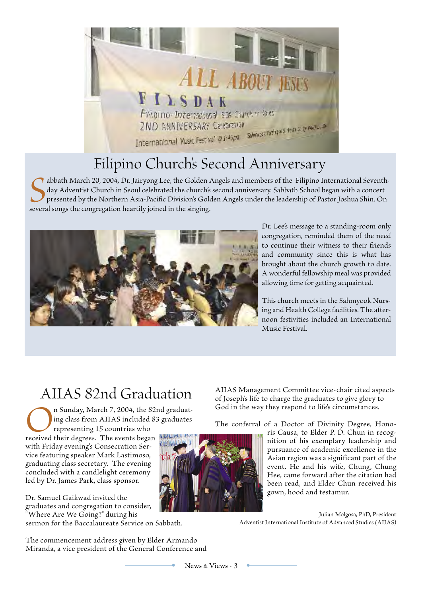

## Filipino Church's Second Anniversary

Sabbath March 20, 2004, Dr. Jairyong Lee, the Golden Aday Adventist Church in Seoul celebrated the church's presented by the Northern Asia-Pacific Division's Golds everal songs the congregation heartily joined in the singi abbath March 20, 2004, Dr. Jairyong Lee, the Golden Angels and members of the Filipino International Seventhday Adventist Church in Seoul celebrated the church's second anniversary. Sabbath School began with a concert presented by the Northern Asia-Pacific Division's Golden Angels under the leadership of Pastor Joshua Shin. On



Dr. Lee's message to a standing-room only congregation, reminded them of the need to continue their witness to their friends and community since this is what has brought about the church growth to date. A wonderful fellowship meal was provided allowing time for getting acquainted.

This church meets in the Sahmyook Nursing and Health College facilities. The afternoon festivities included an International Music Festival.

#### AIIAS 82nd Graduation

n Sunday, March 7, 2004, the 82nd graduating class from AIIAS included 83 graduates representing 15 countries who

received their degrees. The events began with Friday evening's Consecration Service featuring speaker Mark Lastimoso, graduating class secretary. The evening concluded with a candlelight ceremony led by Dr. James Park, class sponsor.

Dr. Samuel Gaikwad invited the graduates and congregation to consider, "Where Are We Going?" during his

sermon for the Baccalaureate Service on Sabbath.

The commencement address given by Elder Armando Miranda, a vice president of the General Conference and



AIIAS Management Committee vice-chair cited aspects of Joseph's life to charge the graduates to give glory to God in the way they respond to life's circumstances.

The conferral of a Doctor of Divinity Degree, Hono-

ris Causa, to Elder P. D. Chun in recognition of his exemplary leadership and pursuance of academic excellence in the Asian region was a significant part of the event. He and his wife, Chung, Chung Hee, came forward after the citation had been read, and Elder Chun received his gown, hood and testamur.

Julian Melgosa, PhD, President Adventist International Institute of Advanced Studies (AIIAS)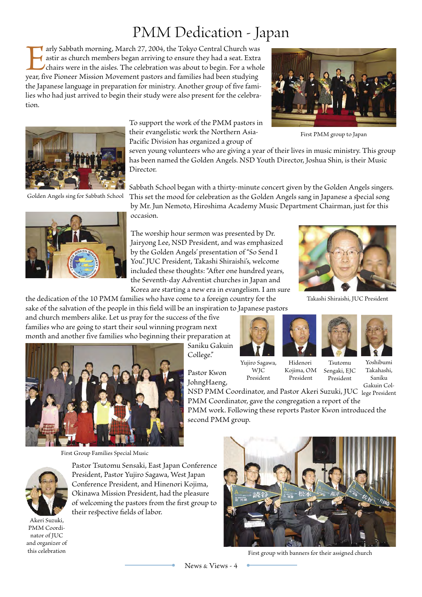#### PMM Dedication - Japan

**I** arly Sabbath morning, March 27, 2004, the Tokyo Central Church was astir as church members began arriving to ensure they had a seat. Extra chairs were in the aisles. The celebration was about to begin. For a whole year, five Pioneer Mission Movement pastors and families had been studying the Japanese language in preparation for ministry. Another group of five families who had just arrived to begin their study were also present for the celebration.



To support the work of the PMM pastors in their evangelistic work the Northern Asia-Pacific Division has organized a group of

seven young volunteers who are giving a year of their lives in music ministry. This group has been named the Golden Angels. NSD Youth Director, Joshua Shin, is their Music Director.

Golden Angels sing for Sabath School



Sabath School began with a thirty-minute concert given by the Golden Angels singers. This set the mood for celebration as the Golden Angels sang in Japanese a special song by Mr. Jun Nemoto, Hiroshima Academy Music Department Chairman, just for this

occasion.

The worship hour sermon was presented by Dr. Jairyong Lee, NSD President, and was emphasized by the Golden Angels' presentation of "So Send I You". JUC President, Takashi Shiraishi's, welcome included these thoughts: "After one hundred years, the Seventh-day Adventist churches in Japan and

Korea are starting a new era in evangelism. I am sure the dedication of the 10 PMM families who have come to a foreign country for the



Takashi Shiraishi, JUC President

sake of the salvation of the people in this field will be an inspiration to Japanese pastors and church members alike. Let us pray for the success of the five families who are going to start their soul winning program next month and another five families who beginning their preparation at

Saniku Gakuin College."

Pastor Kwon JohngHaeng,









First Group Families Special Music



Pastor Tsutomu Sensaki, East Japan Conference President, Pastor Yujiro Sagawa, West Japan Conference President, and Hinenori Kojima, Okinawa Mission President, had the pleasure of welcoming the pastors from the first group to their respective fields of labor.

Akeri Suzuki, PMM Coordinator of JUC and organizer of this celebration



Kojima, OM President

Tsutomu Sengaki, EJC President

Yoshibumi Takahashi, Saniku Gakuin Col-

NSD PMM Coordinator, and Pastor Akeri Suzuki, JUC lege President PMM Coordinator, gave the congregation a report of the PMM work. Following these reports Pastor Kwon introduced the second PMM group.

First group with banners for their assigned church



First PMM group to Japan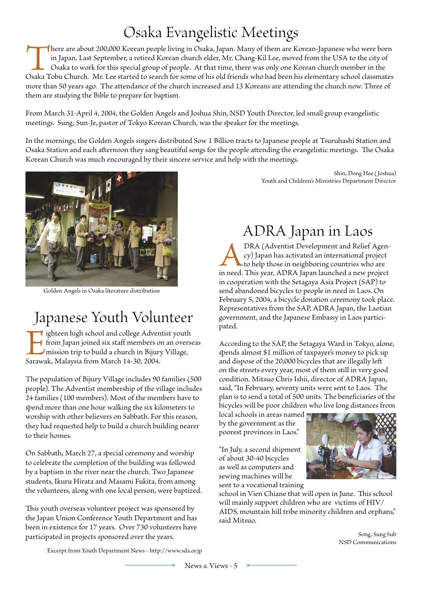### Osaka Evangelistic Meetings

There are about 200,000 Korean people living in Osaka, Japan. Many of them are Korean-Japanese who were born in Japan. Last September, a retired Korean church elder, Mr. Chang-Kil Lee, moved from the USA to the city of Osaka to work for this special group of people. At that time, there was only one Korean church member in the Osaka Tobu Church. Mr. Lee started to search for some of his old friends who had been his elementary school classmates more than 50 years ago. The attendance of the church increased and 13 Koreans are attending the church now. Three of them are studying the Bible to prepare for baptism.

From March 31-April 4, 2004, the Golden Angels and Joshua Shin, NSD Youth Director, led small group evangelistic meetings. Sung, Sun-Je, pastor of Tokyo Korean Church, was the speaker for the meetings.

In the mornings, the Golden Angels singers distributed Sow 1 Billion tracts to Japanese people at Tsuruhashi Station and Osaka Station and each afternoon they sang beautiful songs for the people attending the evangelistic meetings. The Osaka Korean Church was much encouraged by their sincere service and help with the meetings.



Golden Angels in Osaka literature distribution

#### Japanese Youth Volunteer

I ighteen high school and college Adventist youth from Japan joined six staff members on an overseas mission trip to build a church in Bijury Village, Sarawak, Malaysia from March 14-30, 2004.

The population of Bijury Village includes 90 families (500 people). The Adventist membership of the village includes 24 families (100 members). Most of the members have to spend more than one hour walking the six kilometers to worship with other believers on Sabath. For this reason, they had requested help to build a church building nearer to their homes.

On Sabbath, March 27, a special ceremony and worship to celebrate the completion of the building was followed by a baptism in the river near the church. Two Japanese students, Ikuru Hirata and Masami Fukita, from among the volunteers, along with one local person, were baptized.

This youth overseas volunteer project was sponsored by the Japan Union Conference Youth Department and has been in existence for 17 years. Over 730 volunteers have participated in projects sponsored over the years.

Shin, Dong Hee (Joshua) Youth and Children's Ministries Department Director

## ADRA Japan in Laos

**ANDRA** (Adventist Development and Relief Agency) Japan has activated an international project to help those in neighboring countries who are in need. This year, ADRA Japan launched a new project cy) Japan has activated an international project to help those in neighboring countries who are in cooperation with the Setagaya Asia Project (SAP) to send abandoned bicycles to people in need in Laos. On February 5, 2004, a bicycle donation ceremony took place. Representatives from the SAP, ADRA Japan, the Laotian government, and the Japanese Embassy in Laos participated.

According to the SAP, the Setagaya Ward in Tokyo, alone, spends almost \$1 million of taxpayer's money to pick up and dispose of the 20,000 bicycles that are illegally left on the streets every year, most of them still in very good condition. Mitsuo Chris Ishii, director of ADRA Japan, said, "In February, seventy units were sent to Laos. The plan is to send a total of 500 units. The beneficiaries of the bicycles will be poor children who live long distances from

local schools in areas named by the government as the poorest provinces in Laos."

"In July, a second shipment of about 30-40 bicycles as well as computers and sewing machines will be sent to a vocational training



school in Vien Chiane that will open in June. This school will mainly support children who are victims of HIV/ AIDS, mountain hill tribe minority children and orphans," said Mitsuo.

> Song, Sung Sub NSD Communications

Excerpt from Youth Department News - http://www.sda.or.jp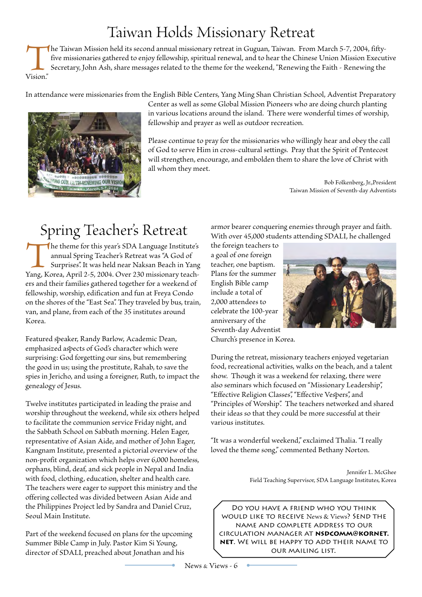### Taiwan Holds Missionary Retreat

The Taiwan Mission held its second annual missionary retreat in Guguan, Taiwan. From March 5-7, 2004, fiftyfive missionaries gathered to enjoy fellowship, spiritual renewal, and to hear the Chinese Union Mission Executive Secretary, John Ash, share messages related to the theme for the weekend, "Renewing the Faith - Renewing the Vision."

In attendance were missionaries from the English Bile Centers, Yang Ming Shan Christian School, Adventist Preparatory



Center as well as some Global Mission Pioneers who are doing church planting in various locations around the island. There were wonderful times of worship, fellowship and prayer as well as outdoor recreation.

Please continue to pray for the missionaries who willingly hear and obey the call of God to serve Him in cross-cultural settings. Pray that the Spirit of Pentecost will strengthen, encourage, and embolden them to share the love of Christ with all whom they meet.

> Bob Folkenberg, Jr.,President Taiwan Mission of Seventh-day Adventists

## Spring Teacher's Retreat

The theme for this year's SDA Language Institute's<br>
annual Spring Teacher's Retreat was "A God of<br>
Surprises". It was held near Naksan Beach in Yang<br>
Yang, Korea, April 2-5, 2004. Over 230 missionary teachannual Spring Teacher's Retreat was "A God of Surprises". It was held near Naksan Beach in Yang ers and their families gathered together for a weekend of fellowship, worship, edification and fun at Freya Condo on the shores of the "East Sea". They traveled by bus, train, van, and plane, from each of the 35 institutes around Korea.

Featured speaker, Randy Barlow, Academic Dean, emphasized aspects of God's character which were surprising: God forgetting our sins, but remembering the good in us; using the prostitute, Rahab, to save the spies in Jericho, and using a foreigner, Ruth, to impact the genealogy of Jesus.

Twelve institutes participated in leading the praise and worship throughout the weekend, while six others helped to facilitate the communion service Friday night, and the Sabbath School on Sabbath morning. Helen Eager, representative of Asian Aide, and mother of John Eager, Kangnam Institute, presented a pictorial overview of the non-profit organization which helps over 6,000 homeless, orphans, lind, deaf, and sick people in Nepal and India with food, clothing, education, shelter and health care. The teachers were eager to support this ministry and the offering collected was divided between Asian Aide and the Philippines Project led by Sandra and Daniel Cruz, Seoul Main Institute.

Part of the weekend focused on plans for the upcoming Summer Bile Camp in July. Pastor Kim Si Young, director of SDALI, preached about Jonathan and his

armor bearer conquering enemies through prayer and faith. With over 45,000 students attending SDALI, he challenged

the foreign teachers to a goal of one foreign teacher, one baptism. Plans for the summer English Bile camp include a total of 2,000 attendees to celebrate the 100-year anniversary of the Seventh-day Adventist



Church's presence in Korea.

During the retreat, missionary teachers enjoyed vegetarian food, recreational activities, walks on the beach, and a talent show. Though it was a weekend for relaxing, there were also seminars which focused on "Missionary Leadership", "Effective Religion Classes", "Effective Vespers", and "Principles of Worship". The teachers networked and shared their ideas so that they could be more successful at their various institutes.

"It was a wonderful weekend," exclaimed Thalia. "I really loved the theme song," commented Bethany Norton.

> Jennifer L. McGhee Field Teaching Supervisor, SDA Language Institutes, Korea

Do you have a friend who you think would like to receive News & Views? Send the name and complete address to our circulation manager at **nsdcomm@kornet. net**. We will be happy to add their name to our mailing list.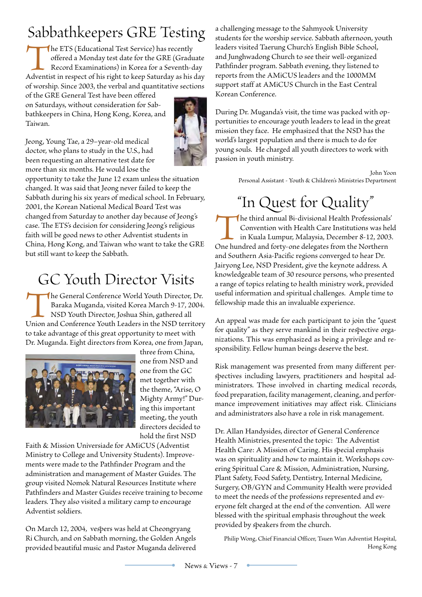## Sabbathkeepers GRE Testing

The ETS (Educational Test Service) has recently offered a Monday test date for the GRE (Graduate Record Examinations) in Korea for a Seventh-day Adventist in respect of his right to keep Saturday as his day offered a Monday test date for the GRE (Graduate Record Examinations) in Korea for a Seventh-day of worship. Since 2003, the verbal and quantitative sections

of the GRE General Test have been offered on Saturdays, without consideration for Sabbathkeepers in China, Hong Kong, Korea, and Taiwan.



Jeong, Young Tae, a 29–year-old medical doctor, who plans to study in the U.S., had been requesting an alternative test date for more than six months. He would lose the

opportunity to take the June 12 exam unless the situation changed. It was said that Jeong never failed to keep the Sabbath during his six years of medical school. In February, 2001, the Korean National Medical Board Test was changed from Saturday to another day because of Jeong's case. The ETS's decision for considering Jeong's religious faith will be good news to other Adventist students in China, Hong Kong, and Taiwan who want to take the GRE but still want to keep the Sabbath.

## GC Youth Director Visits

The General Conference World Youth Director, Dr.<br>
Baraka Muganda, visited Korea March 9-17, 2004.<br>
NSD Youth Director, Joshua Shin, gathered all<br>
Union and Conference Youth Leaders in the NSD territory Baraka Muganda, visited Korea March 9-17, 2004. NSD Youth Director, Joshua Shin, gathered all to take advantage of this great opportunity to meet with Dr. Muganda. Eight directors from Korea, one from Japan,



three from China, one from NSD and one from the GC met together with the theme, "Arise, O Mighty Army!" During this important meeting, the youth directors decided to hold the first NSD

Faith & Mission Universiade for AMiCUS (Adventist Ministry to College and University Students). Improvements were made to the Pathfinder Program and the administration and management of Master Guides. The group visited Nomok Natural Resources Institute where Pathfinders and Master Guides receive training to become leaders. They also visited a military camp to encourage Adventist soldiers.

On March 12, 2004, vespers was held at Cheongryang Ri Church, and on Sabath morning, the Golden Angels provided beautiful music and Pastor Muganda delivered a challenging message to the Sahmyook University students for the worship service. Sabbath afternoon, youth leaders visited Taerung Church's English Bible School, and Junghwadong Church to see their well-organized Pathfinder program. Sabbath evening, they listened to reports from the AMiCUS leaders and the 1000MM support staff at AMiCUS Church in the East Central Korean Conference.

During Dr. Muganda's visit, the time was packed with opportunities to encourage youth leaders to lead in the great mission they face. He emphasized that the NSD has the world's largest population and there is much to do for young souls. He charged all youth directors to work with passion in youth ministry.

> John Yoon Personal Assistant - Youth & Children's Ministries Department

# "In Quest for Quality"

The third annual Bi-divisional Health Professionals'<br>
Convention with Health Care Institutions was hel<br>
in Kuala Lumpur, Malaysia, December 8-12, 2003.<br>
One hundred and forty-one delegates from the Northern Convention with Health Care Institutions was held in Kuala Lumpur, Malaysia, December 8-12, 2003. and Southern Asia-Pacific regions converged to hear Dr. Jairyong Lee, NSD President, give the keynote address. A knowledgeable team of 30 resource persons, who presented a range of topics relating to health ministry work, provided useful information and spiritual challenges. Ample time to fellowship made this an invaluable experience.

An appeal was made for each participant to join the "quest for quality" as they serve mankind in their respective organizations. This was emphasized as being a privilege and responsibility. Fellow human beings deserve the best.

Risk management was presented from many different per spectives including lawyers, practitioners and hospital administrators. Those involved in charting medical records, food preparation, facility management, cleaning, and performance improvement initiatives may affect risk. Clinicians and administrators also have a role in risk management.

Dr. Allan Handysides, director of General Conference Health Ministries, presented the topic: The Adventist Health Care: A Mission of Caring. His special emphasis was on spirituality and how to maintain it. Workshops covering Spiritual Care & Mission, Administration, Nursing, Plant Safety, Food Safety, Dentistry, Internal Medicine, Surgery, OB/GYN and Community Health were provided to meet the needs of the professions represented and everyone felt charged at the end of the convention. All were blessed with the spiritual emphasis throughout the week provided by speakers from the church.

Philip Wong, Chief Financial Officer, Tsuen Wan Adventist Hospital, Hong Kong

 $\bullet$